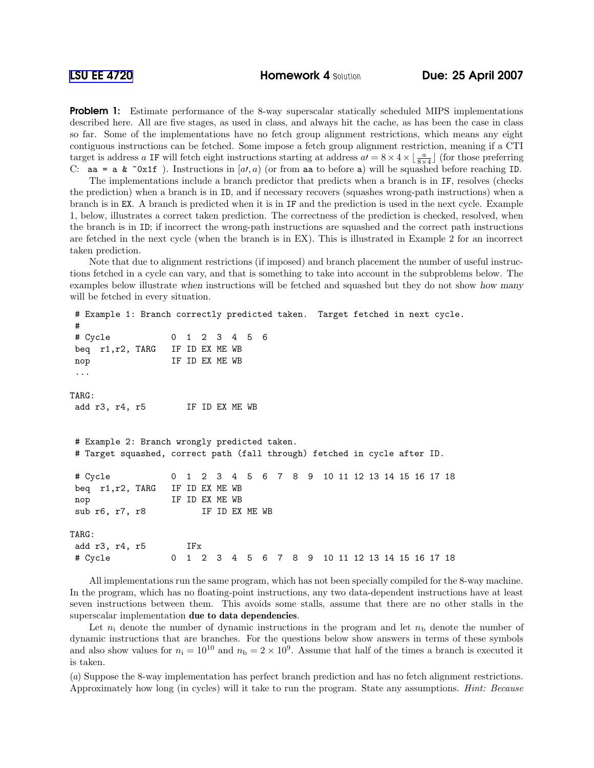**Problem 1:** Estimate performance of the 8-way superscalar statically scheduled MIPS implementations described here. All are five stages, as used in class, and always hit the cache, as has been the case in class so far. Some of the implementations have no fetch group alignment restrictions, which means any eight contiguous instructions can be fetched. Some impose a fetch group alignment restriction, meaning if a CTI target is address a IF will fetch eight instructions starting at address  $aI = 8 \times 4 \times \lfloor \frac{a}{8 \times 4} \rfloor$  (for those preferring C: aa = a &  $\infty$ x1f). Instructions in [a,a, a) (or from aa to before a) will be squashed before reaching ID.

The implementations include a branch predictor that predicts when a branch is in IF, resolves (checks the prediction) when a branch is in ID, and if necessary recovers (squashes wrong-path instructions) when a branch is in EX. A branch is predicted when it is in IF and the prediction is used in the next cycle. Example 1, below, illustrates a correct taken prediction. The correctness of the prediction is checked, resolved, when the branch is in ID; if incorrect the wrong-path instructions are squashed and the correct path instructions are fetched in the next cycle (when the branch is in EX). This is illustrated in Example 2 for an incorrect taken prediction.

Note that due to alignment restrictions (if imposed) and branch placement the number of useful instructions fetched in a cycle can vary, and that is something to take into account in the subproblems below. The examples below illustrate when instructions will be fetched and squashed but they do not show how many will be fetched in every situation.

```
# Example 1: Branch correctly predicted taken. Target fetched in next cycle.
#
# Cycle 0 1 2 3 4 5 6
beq r1,r2, TARG IF ID EX ME WB
nop IF ID EX ME WB
...
TARG:
add r3, r4, r5 IF ID EX ME WB
# Example 2: Branch wrongly predicted taken.
# Target squashed, correct path (fall through) fetched in cycle after ID.
# Cycle 0 1 2 3 4 5 6 7 8 9 10 11 12 13 14 15 16 17 18
beq r1,r2, TARG IF ID EX ME WB
nop IF ID EX ME WB
sub r6, r7, r8 IF ID EX ME WB
TARG:
add r3, r4, r5 IFx
# Cycle 0 1 2 3 4 5 6 7 8 9 10 11 12 13 14 15 16 17 18
```
All implementations run the same program, which has not been specially compiled for the 8-way machine. In the program, which has no floating-point instructions, any two data-dependent instructions have at least seven instructions between them. This avoids some stalls, assume that there are no other stalls in the superscalar implementation due to data dependencies.

Let  $n_i$  denote the number of dynamic instructions in the program and let  $n_b$  denote the number of dynamic instructions that are branches. For the questions below show answers in terms of these symbols and also show values for  $n_i = 10^{10}$  and  $n_b = 2 \times 10^9$ . Assume that half of the times a branch is executed it is taken.

(a) Suppose the 8-way implementation has perfect branch prediction and has no fetch alignment restrictions. Approximately how long (in cycles) will it take to run the program. State any assumptions. Hint: Because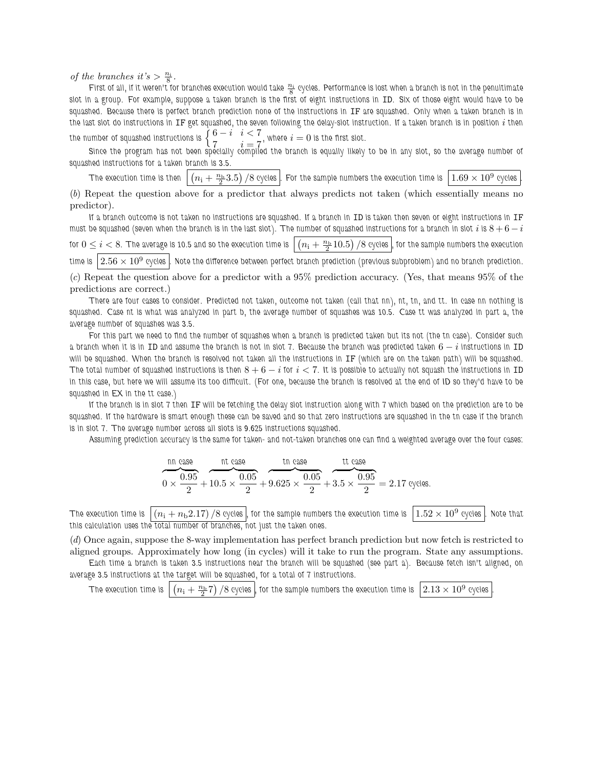of the branches it's  $> \frac{n_i}{8}$ .

First of all, if it weren't for branches execution would take  $\frac{n_i}{8}$  cycles. Performance is lost when a branch is not in the penultimate slot in a group. For example, suppose a taken branch is the first of eight instructions in ID. Six of those eight would have to be squashed. Because there is perfect branch prediction none of the instructions in IF are squashed. Only when a taken branch is in the last slot do instructions in IF get squashed, the seven following the delay-slot instruction. If a taken branch is in position i then the number of squashed instructions is  $\{$  $\frac{6-i}{7}$  i  $i < 7$ , where  $i = 0$  is the first slot.

 $7 \ldots i = 7$ Since the program has not been specially compiled the branch is equally likely to be in any slot, so the average number of squashed instructions for a taken branch is 3.5.

The execution time is then  $n_{\rm i}+\frac{n_{\rm b}}{2}3.5\big)/8$  cycles  $\big|$  . For the sample numbers the execution time is  $\big|1.69\times10^9$  cycles  $\big|$ (b) Repeat the question above for a predictor that always predicts not taken (which essentially means no

predictor). If a branch outcome is not taken no instructions are squashed. If a branch in ID is taken then seven or eight instructions in IF

must be squashed (seven when the branch is in the last slot). The number of squashed instructions for a branch in slot  $i$  is  $8+6-i$ for  $0\leq i < 8.$  The average is 10.5 and so the execution time is  $n_\mathrm{i}+\frac{n_\mathrm{b}}{2}10.5\big)$  /8 cycles  $|$ , for the sample numbers the execution time is  $2.56 \times 10^9$  eyeles Note the difference between perfect branch prediction (previous subproblem) and no branch prediction.

(c) Repeat the question above for a predictor with a 95% prediction accuracy. (Yes, that means 95% of the predictions are correct.)

There are four cases to consider. Predicted not taken, outcome not taken (call that nn), nt, tn, and tt. In case nn nothing is squashed. Case nt is what was analyzed in part b, the average number of squashes was 10.5. Case tt was analyzed in part a, the average number of squashes was 3.5.

For this part we need to find the number of squashes when a branch is predicted taken but its not (the tn case). Consider such a branch when it is in ID and assume the branch is not in slot 7. Because the branch was predicted taken  $6 - i$  instructions in ID will be squashed. When the branch is resolved not taken all the instructions in IF (which are on the taken path) will be squashed. The total number of squashed instructions is then  $8+6-i$  for  $i < 7$ . It is possible to actually not squash the instructions in ID in this case, but here we will assume its too difficult. (For one, because the branch is resolved at the end of ID so they'd have to be squashed in EX in the tt case.)

If the branch is in slot 7 then IF will be fetching the delay slot instruction along with 7 which based on the prediction are to be squashed. If the hardware is smart enough these can be saved and so that zero instructions are squashed in the tn case if the branch is in slot 7. The average number across all slots is 9.625 instructions squashed.

Assuming prediction accuracy is the same for taken- and not-taken branches one can find a weighted average over the four cases:

$$
\frac{\text{nn case}}{0 \times \frac{0.95}{2} + 10.5 \times \frac{0.05}{2} + 9.625 \times \frac{0.05}{2} + 3.5 \times \frac{0.95}{2}} = 2.17 \text{ cycles.}
$$

The execution time is  $|(n_1 + n_2.17)/8$  cycles , for the sample numbers the execution time is  $|1.52 \times 10^9$  cycles Note that this calculation uses the total number of branches, not just the taken ones.

(d) Once again, suppose the 8-way implementation has perfect branch prediction but now fetch is restricted to aligned groups. Approximately how long (in cycles) will it take to run the program. State any assumptions.

Each time a branch is taken 3.5 instructions near the branch will be squashed (see part a). Because fetch isn't aligned, on average 3.5 instructions at the target will be squashed, for a total of 7 instructions.

The execution time is  $n_{\rm i}+\frac{n_{\rm b}}{2}7)$  /8 cycles , for the sample numbers the execution time is  $\left[2.13\times 10^9\right.$  cycles .